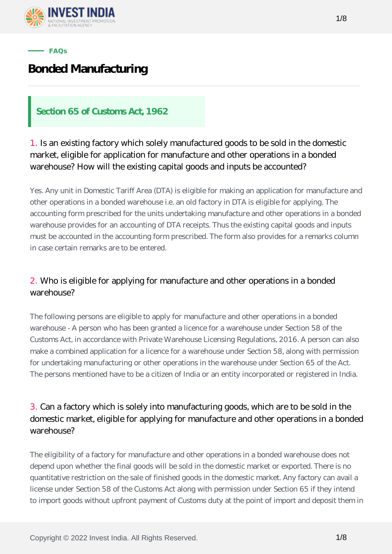

#### **FAQs**

# **Bonded Manufacturing**

#### **Section 65 of Customs Act, 1962**

1. Is an existing factory which solely manufactured goods to be sold in the domestic market, eligible for application for manufacture and other operations in a bonded warehouse? How will the existing capital goods and inputs be accounted?

Yes. Any unit in Domestic Tariff Area (DTA) is eligible for making an application for manufacture and other operations in a bonded warehouse i.e. an old factory in DTA is eligible for applying. The accounting form prescribed for the units undertaking manufacture and other operations in a bonded warehouse provides for an accounting of DTA receipts. Thus the existing capital goods and inputs must be accounted in the accounting form prescribed. The form also provides for a remarks column in case certain remarks are to be entered.

#### 2. Who is eligible for applying for manufacture and other operations in a bonded warehouse?

The following persons are eligible to apply for manufacture and other operations in a bonded warehouse - A person who has been granted a licence for a warehouse under Section 58 of the Customs Act, in accordance with Private Warehouse Licensing Regulations, 2016. A person can also make a combined application for a licence for a warehouse under Section 58, along with permission for undertaking manufacturing or other operations in the warehouse under Section 65 of the Act. The persons mentioned have to be a citizen of India or an entity incorporated or registered in India.

#### 3. Can a factory which is solely into manufacturing goods, which are to be sold in the domestic market, eligible for applying for manufacture and other operations in a bonded warehouse?

The eligibility of a factory for manufacture and other operations in a bonded warehouse does not depend upon whether the final goods will be sold in the domestic market or exported. There is no quantitative restriction on the sale of finished goods in the domestic market. Any factory can avail a license under Section 58 of the Customs Act along with permission under Section 65 if they intend to import goods without upfront payment of Customs duty at the point of import and deposit them in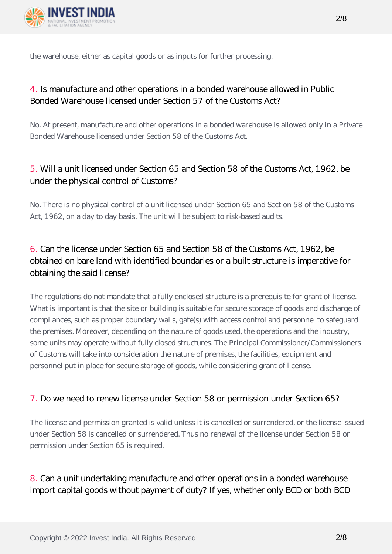

the warehouse, either as capital goods or as inputs for further processing.

#### 4. Is manufacture and other operations in a bonded warehouse allowed in Public Bonded Warehouse licensed under Section 57 of the Customs Act?

No. At present, manufacture and other operations in a bonded warehouse is allowed only in a Private Bonded Warehouse licensed under Section 58 of the Customs Act.

#### 5. Will a unit licensed under Section 65 and Section 58 of the Customs Act, 1962, be under the physical control of Customs?

No. There is no physical control of a unit licensed under Section 65 and Section 58 of the Customs Act, 1962, on a day to day basis. The unit will be subject to risk-based audits.

# 6. Can the license under Section 65 and Section 58 of the Customs Act, 1962, be obtained on bare land with identified boundaries or a built structure is imperative for obtaining the said license?

The regulations do not mandate that a fully enclosed structure is a prerequisite for grant of license. What is important is that the site or building is suitable for secure storage of goods and discharge of compliances, such as proper boundary walls, gate(s) with access control and personnel to safeguard the premises. Moreover, depending on the nature of goods used, the operations and the industry, some units may operate without fully closed structures. The Principal Commissioner/Commissioners of Customs will take into consideration the nature of premises, the facilities, equipment and personnel put in place for secure storage of goods, while considering grant of license.

#### 7. Do we need to renew license under Section 58 or permission under Section 65?

The license and permission granted is valid unless it is cancelled or surrendered, or the license issued under Section 58 is cancelled or surrendered. Thus no renewal of the license under Section 58 or permission under Section 65 is required.

#### 8. Can a unit undertaking manufacture and other operations in a bonded warehouse import capital goods without payment of duty? If yes, whether only BCD or both BCD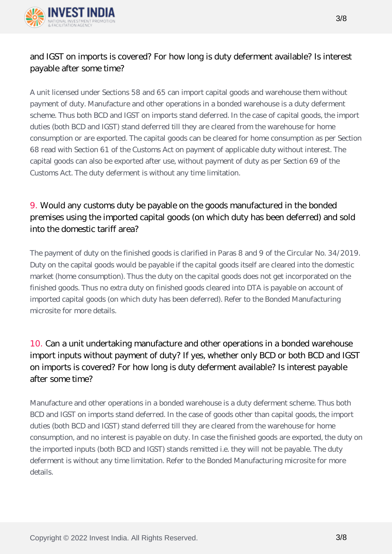

#### and IGST on imports is covered? For how long is duty deferment available? Is interest payable after some time?

A unit licensed under Sections 58 and 65 can import capital goods and warehouse them without payment of duty. Manufacture and other operations in a bonded warehouse is a duty deferment scheme. Thus both BCD and IGST on imports stand deferred. In the case of capital goods, the import duties (both BCD and IGST) stand deferred till they are cleared from the warehouse for home consumption or are exported. The capital goods can be cleared for home consumption as per Section 68 read with Section 61 of the Customs Act on payment of applicable duty without interest. The capital goods can also be exported after use, without payment of duty as per Section 69 of the Customs Act. The duty deferment is without any time limitation.

# 9. Would any customs duty be payable on the goods manufactured in the bonded premises using the imported capital goods (on which duty has been deferred) and sold into the domestic tariff area?

The payment of duty on the finished goods is clarified in Paras 8 and 9 of the Circular No. 34/2019. Duty on the capital goods would be payable if the capital goods itself are cleared into the domestic market (home consumption). Thus the duty on the capital goods does not get incorporated on the finished goods. Thus no extra duty on finished goods cleared into DTA is payable on account of imported capital goods (on which duty has been deferred). Refer to the Bonded Manufacturing microsite for more details.

# 10. Can a unit undertaking manufacture and other operations in a bonded warehouse import inputs without payment of duty? If yes, whether only BCD or both BCD and IGST on imports is covered? For how long is duty deferment available? Is interest payable after some time?

Manufacture and other operations in a bonded warehouse is a duty deferment scheme. Thus both BCD and IGST on imports stand deferred. In the case of goods other than capital goods, the import duties (both BCD and IGST) stand deferred till they are cleared from the warehouse for home consumption, and no interest is payable on duty. In case the finished goods are exported, the duty on the imported inputs (both BCD and IGST) stands remitted i.e. they will not be payable. The duty deferment is without any time limitation. Refer to the Bonded Manufacturing microsite for more details.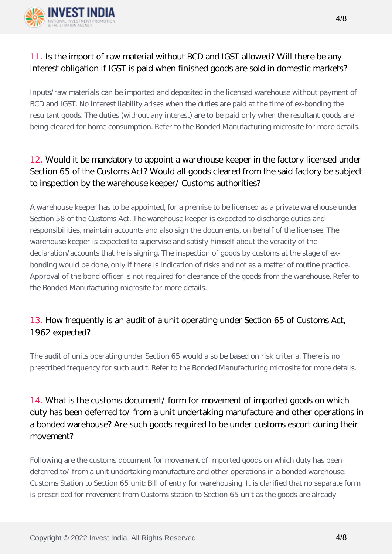

#### 11. Is the import of raw material without BCD and IGST allowed? Will there be any interest obligation if IGST is paid when finished goods are sold in domestic markets?

Inputs/raw materials can be imported and deposited in the licensed warehouse without payment of BCD and IGST. No interest liability arises when the duties are paid at the time of ex-bonding the resultant goods. The duties (without any interest) are to be paid only when the resultant goods are being cleared for home consumption. Refer to the Bonded Manufacturing microsite for more details.

# 12. Would it be mandatory to appoint a warehouse keeper in the factory licensed under Section 65 of the Customs Act? Would all goods cleared from the said factory be subject to inspection by the warehouse keeper/ Customs authorities?

A warehouse keeper has to be appointed, for a premise to be licensed as a private warehouse under Section 58 of the Customs Act. The warehouse keeper is expected to discharge duties and responsibilities, maintain accounts and also sign the documents, on behalf of the licensee. The warehouse keeper is expected to supervise and satisfy himself about the veracity of the declaration/accounts that he is signing. The inspection of goods by customs at the stage of exbonding would be done, only if there is indication of risks and not as a matter of routine practice. Approval of the bond officer is not required for clearance of the goods from the warehouse. Refer to the Bonded Manufacturing microsite for more details.

#### 13. How frequently is an audit of a unit operating under Section 65 of Customs Act, 1962 expected?

The audit of units operating under Section 65 would also be based on risk criteria. There is no prescribed frequency for such audit. Refer to the Bonded Manufacturing microsite for more details.

# 14. What is the customs document/ form for movement of imported goods on which duty has been deferred to/ from a unit undertaking manufacture and other operations in a bonded warehouse? Are such goods required to be under customs escort during their movement?

Following are the customs document for movement of imported goods on which duty has been deferred to/ from a unit undertaking manufacture and other operations in a bonded warehouse: Customs Station to Section 65 unit: Bill of entry for warehousing. It is clarified that no separate form is prescribed for movement from Customs station to Section 65 unit as the goods are already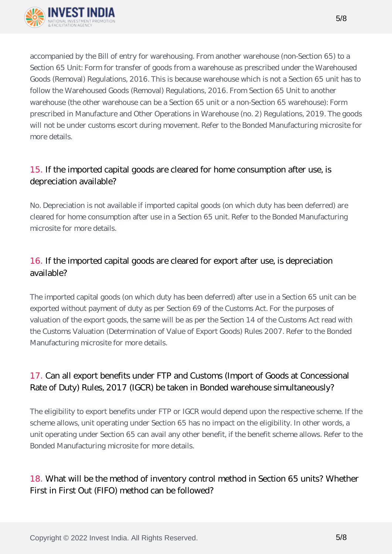

accompanied by the Bill of entry for warehousing. From another warehouse (non-Section 65) to a Section 65 Unit: Form for transfer of goods from a warehouse as prescribed under the Warehoused Goods (Removal) Regulations, 2016. This is because warehouse which is not a Section 65 unit has to follow the Warehoused Goods (Removal) Regulations, 2016. From Section 65 Unit to another warehouse (the other warehouse can be a Section 65 unit or a non-Section 65 warehouse): Form prescribed in Manufacture and Other Operations in Warehouse (no. 2) Regulations, 2019. The goods will not be under customs escort during movement. Refer to the Bonded Manufacturing microsite for more details.

#### 15. If the imported capital goods are cleared for home consumption after use, is depreciation available?

No. Depreciation is not available if imported capital goods (on which duty has been deferred) are cleared for home consumption after use in a Section 65 unit. Refer to the Bonded Manufacturing microsite for more details.

#### 16. If the imported capital goods are cleared for export after use, is depreciation available?

The imported capital goods (on which duty has been deferred) after use in a Section 65 unit can be exported without payment of duty as per Section 69 of the Customs Act. For the purposes of valuation of the export goods, the same will be as per the Section 14 of the Customs Act read with the Customs Valuation (Determination of Value of Export Goods) Rules 2007. Refer to the Bonded Manufacturing microsite for more details.

# 17. Can all export benefits under FTP and Customs (Import of Goods at Concessional Rate of Duty) Rules, 2017 (IGCR) be taken in Bonded warehouse simultaneously?

The eligibility to export benefits under FTP or IGCR would depend upon the respective scheme. If the scheme allows, unit operating under Section 65 has no impact on the eligibility. In other words, a unit operating under Section 65 can avail any other benefit, if the benefit scheme allows. Refer to the Bonded Manufacturing microsite for more details.

# 18. What will be the method of inventory control method in Section 65 units? Whether First in First Out (FIFO) method can be followed?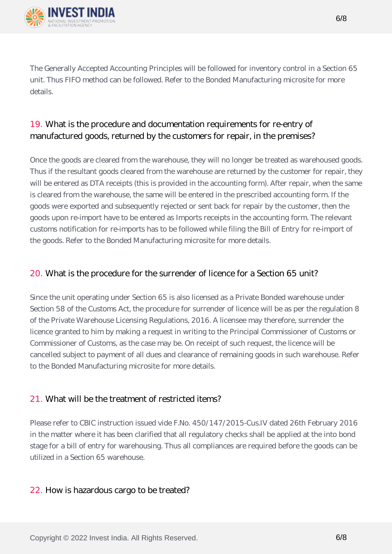

The Generally Accepted Accounting Principles will be followed for inventory control in a Section 65 unit. Thus FIFO method can be followed. Refer to the Bonded Manufacturing microsite for more details.

#### 19. What is the procedure and documentation requirements for re-entry of manufactured goods, returned by the customers for repair, in the premises?

Once the goods are cleared from the warehouse, they will no longer be treated as warehoused goods. Thus if the resultant goods cleared from the warehouse are returned by the customer for repair, they will be entered as DTA receipts (this is provided in the accounting form). After repair, when the same is cleared from the warehouse, the same will be entered in the prescribed accounting form. If the goods were exported and subsequently rejected or sent back for repair by the customer, then the goods upon re-import have to be entered as Imports receipts in the accounting form. The relevant customs notification for re-imports has to be followed while filing the Bill of Entry for re-import of the goods. Refer to the Bonded Manufacturing microsite for more details.

#### 20. What is the procedure for the surrender of licence for a Section 65 unit?

Since the unit operating under Section 65 is also licensed as a Private Bonded warehouse under Section 58 of the Customs Act, the procedure for surrender of licence will be as per the regulation 8 of the Private Warehouse Licensing Regulations, 2016. A licensee may therefore, surrender the licence granted to him by making a request in writing to the Principal Commissioner of Customs or Commissioner of Customs, as the case may be. On receipt of such request, the licence will be cancelled subject to payment of all dues and clearance of remaining goods in such warehouse. Refer to the Bonded Manufacturing microsite for more details.

#### 21. What will be the treatment of restricted items?

Please refer to CBIC instruction issued vide F.No. 450/147/2015-Cus.IV dated 26th February 2016 in the matter where it has been clarified that all regulatory checks shall be applied at the into bond stage for a bill of entry for warehousing. Thus all compliances are required before the goods can be utilized in a Section 65 warehouse.

#### 22. How is hazardous cargo to be treated?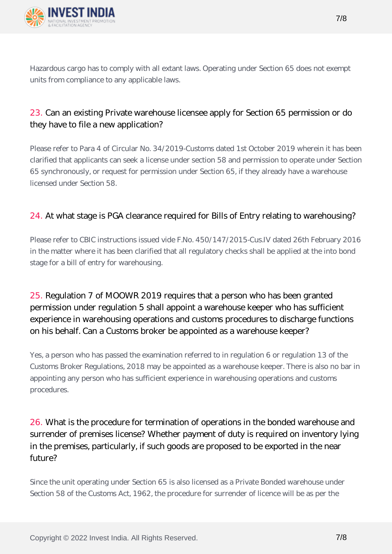

Hazardous cargo has to comply with all extant laws. Operating under Section 65 does not exempt units from compliance to any applicable laws.

#### 23. Can an existing Private warehouse licensee apply for Section 65 permission or do they have to file a new application?

Please refer to Para 4 of Circular No. 34/2019-Customs dated 1st October 2019 wherein it has been clarified that applicants can seek a license under section 58 and permission to operate under Section 65 synchronously, or request for permission under Section 65, if they already have a warehouse licensed under Section 58.

#### 24. At what stage is PGA clearance required for Bills of Entry relating to warehousing?

Please refer to CBIC instructions issued vide F.No. 450/147/2015-Cus.IV dated 26th February 2016 in the matter where it has been clarified that all regulatory checks shall be applied at the into bond stage for a bill of entry for warehousing.

# 25. Regulation 7 of MOOWR 2019 requires that a person who has been granted permission under regulation 5 shall appoint a warehouse keeper who has sufficient experience in warehousing operations and customs procedures to discharge functions on his behalf. Can a Customs broker be appointed as a warehouse keeper?

Yes, a person who has passed the examination referred to in regulation 6 or regulation 13 of the Customs Broker Regulations, 2018 may be appointed as a warehouse keeper. There is also no bar in appointing any person who has sufficient experience in warehousing operations and customs procedures.

# 26. What is the procedure for termination of operations in the bonded warehouse and surrender of premises license? Whether payment of duty is required on inventory lying in the premises, particularly, if such goods are proposed to be exported in the near future?

Since the unit operating under Section 65 is also licensed as a Private Bonded warehouse under Section 58 of the Customs Act, 1962, the procedure for surrender of licence will be as per the